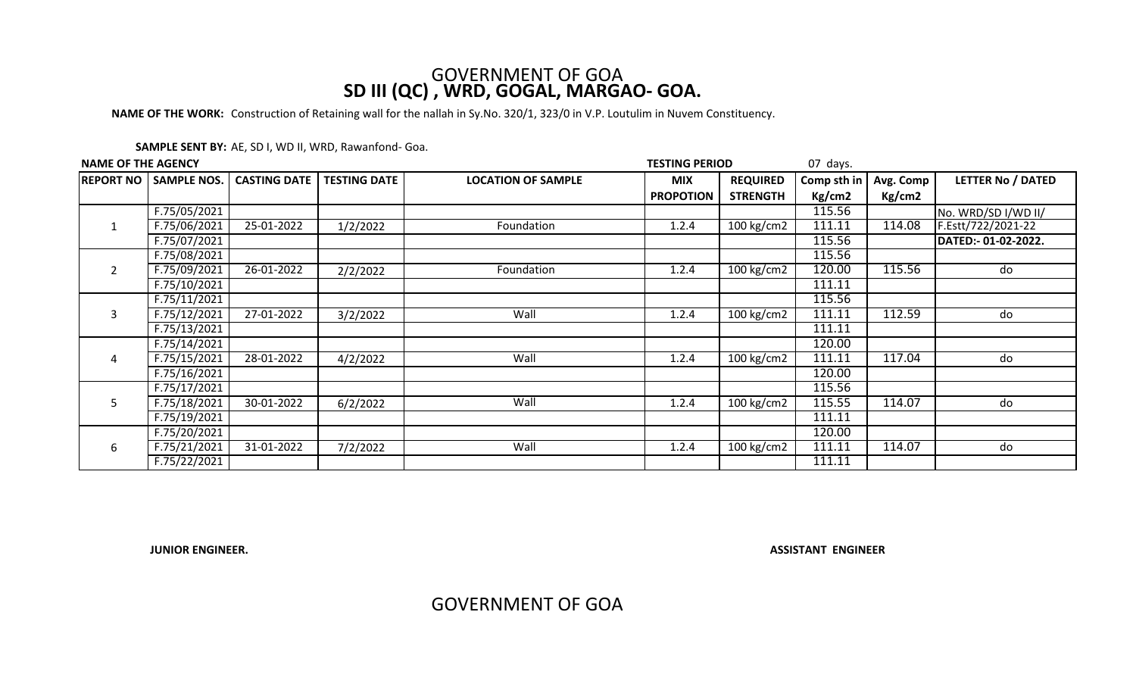## GOVERNMENT OF GOA **SD III (QC) , WRD, GOGAL, MARGAO- GOA.**

**NAME OF THE WORK:** Construction of Retaining wall for the nallah in Sy.No. 320/1, 323/0 in V.P. Loutulim in Nuvem Constituency.

| <b>NAME OF THE AGENCY</b> |                    |                     |                     |                           | <b>TESTING PERIOD</b><br>07 days. |                 |             |           |                          |
|---------------------------|--------------------|---------------------|---------------------|---------------------------|-----------------------------------|-----------------|-------------|-----------|--------------------------|
| <b>REPORT NO</b>          | <b>SAMPLE NOS.</b> | <b>CASTING DATE</b> | <b>TESTING DATE</b> | <b>LOCATION OF SAMPLE</b> | <b>MIX</b>                        | <b>REQUIRED</b> | Comp sth in | Avg. Comp | <b>LETTER No / DATED</b> |
|                           |                    |                     |                     |                           | <b>PROPOTION</b>                  | <b>STRENGTH</b> | Kg/cm2      | Kg/cm2    |                          |
| $\mathbf{1}$              | F.75/05/2021       |                     |                     |                           |                                   |                 | 115.56      |           | No. WRD/SD I/WD II/      |
|                           | F.75/06/2021       | 25-01-2022          | 1/2/2022            | Foundation                | 1.2.4                             | 100 kg/cm2      | 111.11      | 114.08    | F.Estt/722/2021-22       |
|                           | F.75/07/2021       |                     |                     |                           |                                   |                 | 115.56      |           | DATED:- 01-02-2022.      |
| 2                         | F.75/08/2021       |                     |                     |                           |                                   |                 | 115.56      |           |                          |
|                           | F.75/09/2021       | 26-01-2022          | 2/2/2022            | Foundation                | 1.2.4                             | 100 kg/cm2      | 120.00      | 115.56    | do                       |
|                           | F.75/10/2021       |                     |                     |                           |                                   |                 | 111.11      |           |                          |
|                           | F.75/11/2021       |                     |                     |                           |                                   |                 | 115.56      |           |                          |
| 3                         | F.75/12/2021       | 27-01-2022          | 3/2/2022            | Wall                      | 1.2.4                             | 100 kg/cm2      | 111.11      | 112.59    | do                       |
|                           | F.75/13/2021       |                     |                     |                           |                                   |                 | 111.11      |           |                          |
| 4                         | F.75/14/2021       |                     |                     |                           |                                   |                 | 120.00      |           |                          |
|                           | F.75/15/2021       | 28-01-2022          | 4/2/2022            | Wall                      | 1.2.4                             | 100 kg/cm2      | 111.11      | 117.04    | do                       |
|                           | F.75/16/2021       |                     |                     |                           |                                   |                 | 120.00      |           |                          |
| 5                         | F.75/17/2021       |                     |                     |                           |                                   |                 | 115.56      |           |                          |
|                           | F.75/18/2021       | 30-01-2022          | 6/2/2022            | Wall                      | 1.2.4                             | 100 $kg/cm2$    | 115.55      | 114.07    | do                       |
|                           | F.75/19/2021       |                     |                     |                           |                                   |                 | 111.11      |           |                          |
|                           | F.75/20/2021       |                     |                     |                           |                                   |                 | 120.00      |           |                          |
| 6                         | F.75/21/2021       | 31-01-2022          | 7/2/2022            | Wall                      | 1.2.4                             | 100 kg/cm2      | 111.11      | 114.07    | do                       |
|                           | F.75/22/2021       |                     |                     |                           |                                   |                 | 111.11      |           |                          |

**JUNIOR ENGINEER.**

**ASSISTANT ENGINEER**

GOVERNMENT OF GOA